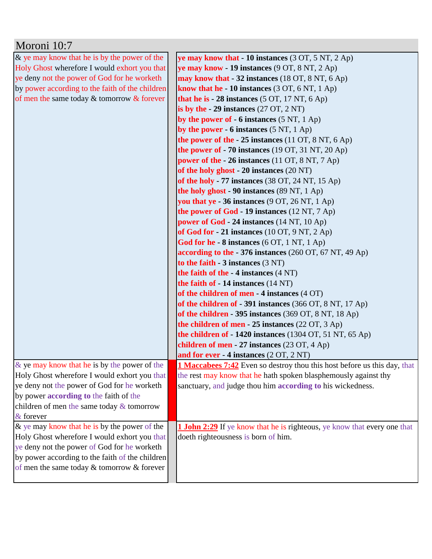| Moroni 10:7                                     |                                                                                 |
|-------------------------------------------------|---------------------------------------------------------------------------------|
| $\&$ ye may know that he is by the power of the | ye may know that $-10$ instances (3 OT, 5 NT, 2 Ap)                             |
| Holy Ghost wherefore I would exhort you that    | ye may know - 19 instances $(9 \text{ OT}, 8 \text{ NT}, 2 \text{ Ap})$         |
| ye deny not the power of God for he worketh     | may know that - 32 instances (18 OT, 8 NT, 6 Ap)                                |
| by power according to the faith of the children | know that he - 10 instances (3 OT, 6 NT, 1 Ap)                                  |
| of men the same today $&$ tomorrow $&$ forever  | that he is $-28$ instances (5 OT, 17 NT, 6 Ap)                                  |
|                                                 | is by the $-29$ instances (27 OT, 2 NT)                                         |
|                                                 | by the power of $-6$ instances (5 NT, 1 Ap)                                     |
|                                                 | by the power - 6 instances $(5 NT, 1 Ap)$                                       |
|                                                 | the power of the $-25$ instances (11 OT, 8 NT, 6 Ap)                            |
|                                                 | the power of $-70$ instances (19 OT, 31 NT, 20 Ap)                              |
|                                                 | power of the $-26$ instances (11 OT, 8 NT, 7 Ap)                                |
|                                                 | of the holy ghost - 20 instances (20 NT)                                        |
|                                                 | of the holy - 77 instances $(38 \text{ OT}, 24 \text{ NT}, 15 \text{ Ap})$      |
|                                                 | the holy ghost - 90 instances (89 NT, 1 Ap)                                     |
|                                                 | you that ye $-36$ instances (9 OT, 26 NT, 1 Ap)                                 |
|                                                 | the power of God - 19 instances (12 NT, 7 Ap)                                   |
|                                                 | power of God - 24 instances (14 NT, 10 Ap)                                      |
|                                                 | of God for $-21$ instances (10 OT, 9 NT, 2 Ap)                                  |
|                                                 | God for he - 8 instances (6 OT, 1 NT, 1 Ap)                                     |
|                                                 | according to the - 376 instances (260 OT, 67 NT, 49 Ap)                         |
|                                                 | to the faith $-3$ instances $(3 \text{ NT})$                                    |
|                                                 | the faith of the $-4$ instances $(4 \text{ NT})$                                |
|                                                 | the faith of - 14 instances (14 NT)                                             |
|                                                 | of the children of men - 4 instances (4 OT)                                     |
|                                                 | of the children of - 391 instances (366 OT, 8 NT, 17 Ap)                        |
|                                                 | of the children - 395 instances $(369 \text{ OT}, 8 \text{ NT}, 18 \text{ Ap})$ |
|                                                 | the children of men - 25 instances (22 OT, 3 Ap)                                |
|                                                 | the children of - 1420 instances (1304 OT, 51 NT, 65 Ap)                        |
|                                                 | children of men - 27 instances (23 OT, 4 Ap)                                    |
|                                                 | and for ever $-4$ instances $(2 OT, 2 NT)$                                      |
| & ye may know that he is by the power of the    | <b>1 Maccabees 7:42</b> Even so destroy thou this host before us this day, that |
| Holy Ghost wherefore I would exhort you that    | the rest may know that he hath spoken blasphemously against thy                 |
| ye deny not the power of God for he worketh     | sanctuary, and judge thou him according to his wickedness.                      |
| by power according to the faith of the          |                                                                                 |
| children of men the same today $&$ tomorrow     |                                                                                 |
| & forever                                       |                                                                                 |
| & ye may know that he is by the power of the    | <b>1 John 2:29</b> If ye know that he is righteous, ye know that every one that |
| Holy Ghost wherefore I would exhort you that    | doeth righteousness is born of him.                                             |
| ye deny not the power of God for he worketh     |                                                                                 |
| by power according to the faith of the children |                                                                                 |
| of men the same today & tomorrow & forever      |                                                                                 |
|                                                 |                                                                                 |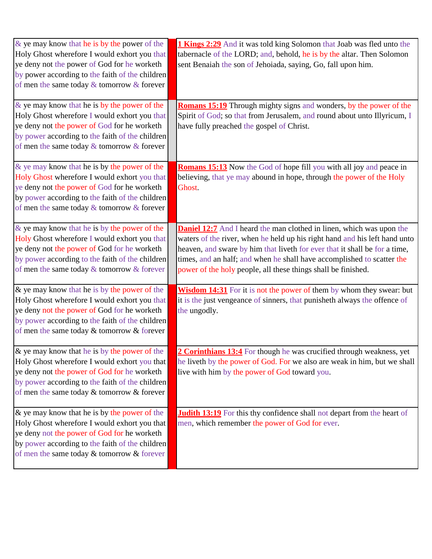| & ye may know that he is by the power of the<br>Holy Ghost wherefore I would exhort you that<br>ye deny not the power of God for he worketh<br>by power according to the faith of the children<br>of men the same today $\&$ tomorrow $\&$ forever | 1 Kings 2:29 And it was told king Solomon that Joab was fled unto the<br>tabernacle of the LORD; and, behold, he is by the altar. Then Solomon<br>sent Benaiah the son of Jehoiada, saying, Go, fall upon him.                                                                                                                                                                     |
|----------------------------------------------------------------------------------------------------------------------------------------------------------------------------------------------------------------------------------------------------|------------------------------------------------------------------------------------------------------------------------------------------------------------------------------------------------------------------------------------------------------------------------------------------------------------------------------------------------------------------------------------|
| $\&$ ye may know that he is by the power of the<br>Holy Ghost wherefore I would exhort you that<br>ye deny not the power of God for he worketh<br>by power according to the faith of the children<br>of men the same today & tomorrow & forever    | Romans 15:19 Through mighty signs and wonders, by the power of the<br>Spirit of God; so that from Jerusalem, and round about unto Illyricum, I<br>have fully preached the gospel of Christ.                                                                                                                                                                                        |
| & ye may know that he is by the power of the<br>Holy Ghost wherefore I would exhort you that<br>ye deny not the power of God for he worketh<br>by power according to the faith of the children<br>of men the same today $\&$ tomorrow $\&$ forever | <b>Romans 15:13</b> Now the God of hope fill you with all joy and peace in<br>believing, that ye may abound in hope, through the power of the Holy<br>Ghost.                                                                                                                                                                                                                       |
| & ye may know that he is by the power of the<br>Holy Ghost wherefore I would exhort you that<br>ye deny not the power of God for he worketh<br>by power according to the faith of the children<br>of men the same today & tomorrow & forever       | <b>Daniel 12:7</b> And I heard the man clothed in linen, which was upon the<br>waters of the river, when he held up his right hand and his left hand unto<br>heaven, and sware by him that liveth for ever that it shall be for a time,<br>times, and an half; and when he shall have accomplished to scatter the<br>power of the holy people, all these things shall be finished. |
| & ye may know that he is by the power of the<br>Holy Ghost wherefore I would exhort you that<br>ye deny not the power of God for he worketh<br>by power according to the faith of the children<br>of men the same today & tomorrow & forever       | Wisdom 14:31 For it is not the power of them by whom they swear: but<br>it is the just vengeance of sinners, that punisheth always the offence of<br>the ungodly.                                                                                                                                                                                                                  |
| & ye may know that he is by the power of the<br>Holy Ghost wherefore I would exhort you that<br>ye deny not the power of God for he worketh<br>by power according to the faith of the children<br>of men the same today & tomorrow & forever       | 2 Corinthians 13:4 For though he was crucified through weakness, yet<br>he liveth by the power of God. For we also are weak in him, but we shall<br>live with him by the power of God toward you.                                                                                                                                                                                  |
| $\&$ ye may know that he is by the power of the<br>Holy Ghost wherefore I would exhort you that<br>ye deny not the power of God for he worketh<br>by power according to the faith of the children<br>of men the same today & tomorrow & forever    | <b>Judith 13:19</b> For this thy confidence shall not depart from the heart of<br>men, which remember the power of God for ever.                                                                                                                                                                                                                                                   |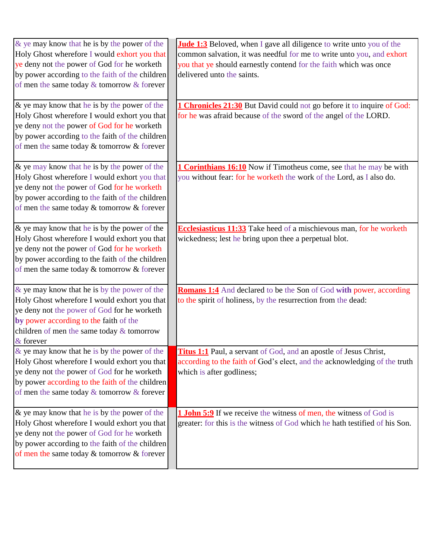| & ye may know that he is by the power of the<br>Holy Ghost wherefore I would exhort you that<br>ye deny not the power of God for he worketh<br>by power according to the faith of the children<br>of men the same today $&$ tomorrow $&$ forever   | <b>Jude 1:3</b> Beloved, when I gave all diligence to write unto you of the<br>common salvation, it was needful for me to write unto you, and exhort<br>you that ye should earnestly contend for the faith which was once<br>delivered unto the saints. |
|----------------------------------------------------------------------------------------------------------------------------------------------------------------------------------------------------------------------------------------------------|---------------------------------------------------------------------------------------------------------------------------------------------------------------------------------------------------------------------------------------------------------|
| $\&$ ye may know that he is by the power of the<br>Holy Ghost wherefore I would exhort you that<br>ye deny not the power of God for he worketh<br>by power according to the faith of the children<br>of men the same today & tomorrow & forever    | 1 Chronicles 21:30 But David could not go before it to inquire of God:<br>for he was afraid because of the sword of the angel of the LORD.                                                                                                              |
| & ye may know that he is by the power of the<br>Holy Ghost wherefore I would exhort you that<br>ye deny not the power of God for he worketh<br>by power according to the faith of the children<br>of men the same today & tomorrow & forever       | <b>1 Corinthians 16:10</b> Now if Timotheus come, see that he may be with<br>you without fear: for he worketh the work of the Lord, as I also do.                                                                                                       |
| $\&$ ye may know that he is by the power of the<br>Holy Ghost wherefore I would exhort you that<br>ye deny not the power of God for he worketh<br>by power according to the faith of the children<br>of men the same today & tomorrow & forever    | Ecclesiasticus 11:33 Take heed of a mischievous man, for he worketh<br>wickedness; lest he bring upon thee a perpetual blot.                                                                                                                            |
| $\&$ ye may know that he is by the power of the<br>Holy Ghost wherefore I would exhort you that<br>ye deny not the power of God for he worketh<br>by power according to the faith of the<br>children of men the same today & tomorrow<br>& forever | <b>Romans 1:4</b> And declared to be the Son of God with power, according<br>to the spirit of holiness, by the resurrection from the dead:                                                                                                              |
| & ye may know that he is by the power of the<br>Holy Ghost wherefore I would exhort you that<br>ye deny not the power of God for he worketh<br>by power according to the faith of the children<br>of men the same today $&$ tomorrow $&$ forever   | <b>Titus 1:1</b> Paul, a servant of God, and an apostle of Jesus Christ,<br>according to the faith of God's elect, and the acknowledging of the truth<br>which is after godliness;                                                                      |
| & ye may know that he is by the power of the<br>Holy Ghost wherefore I would exhort you that<br>ye deny not the power of God for he worketh<br>by power according to the faith of the children<br>of men the same today & tomorrow & forever       | <b>1 John 5:9</b> If we receive the witness of men, the witness of God is<br>greater: for this is the witness of God which he hath testified of his Son.                                                                                                |